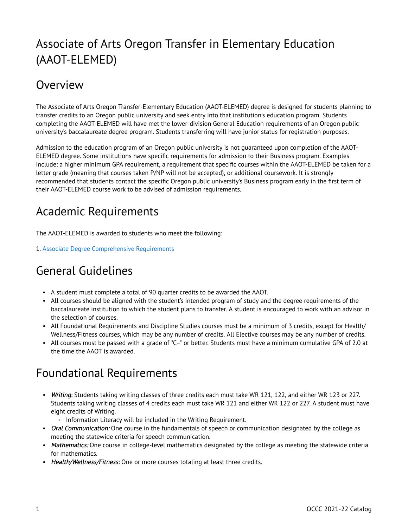## Associate of Arts Oregon Transfer in Elementary Education (AAOT-ELEMED)

#### Overview

The Associate of Arts Oregon Transfer-Elementary Education (AAOT-ELEMED) degree is designed for students planning to transfer credits to an Oregon public university and seek entry into that institution's education program. Students completing the AAOT-ELEMED will have met the lower-division General Education requirements of an Oregon public university's baccalaureate degree program. Students transferring will have junior status for registration purposes.

Admission to the education program of an Oregon public university is not guaranteed upon completion of the AAOT-ELEMED degree. Some institutions have specific requirements for admission to their Business program. Examples include: a higher minimum GPA requirement, a requirement that specific courses within the AAOT-ELEMED be taken for a letter grade (meaning that courses taken P/NP will not be accepted), or additional coursework. It is strongly recommended that students contact the specific Oregon public university's Business program early in the first term of their AAOT-ELEMED course work to be advised of admission requirements.

## Academic Requirements

The AAOT-ELEMED is awarded to students who meet the following:

1. [Associate Degree Comprehensive Requirements](http://catalog.oregoncoastcc.org/associate-degree-comprehensive-requirements-0)

## General Guidelines

- A student must complete a total of 90 quarter credits to be awarded the AAOT.
- All courses should be aligned with the student's intended program of study and the degree requirements of the baccalaureate institution to which the student plans to transfer. A student is encouraged to work with an advisor in the selection of courses.
- All Foundational Requirements and Discipline Studies courses must be a minimum of 3 credits, except for Health/ Wellness/Fitness courses, which may be any number of credits. All Elective courses may be any number of credits.
- All courses must be passed with a grade of "C–" or better. Students must have a minimum cumulative GPA of 2.0 at the time the AAOT is awarded.

## Foundational Requirements

- Writing: Students taking writing classes of three credits each must take WR 121, 122, and either WR 123 or 227. Students taking writing classes of 4 credits each must take WR 121 and either WR 122 or 227. A student must have eight credits of Writing.
	- Information Literacy will be included in the Writing Requirement.
- Oral Communication: One course in the fundamentals of speech or communication designated by the college as meeting the statewide criteria for speech communication.
- Mathematics: One course in college-level mathematics designated by the college as meeting the statewide criteria for mathematics.
- Health/Wellness/Fitness: One or more courses totaling at least three credits.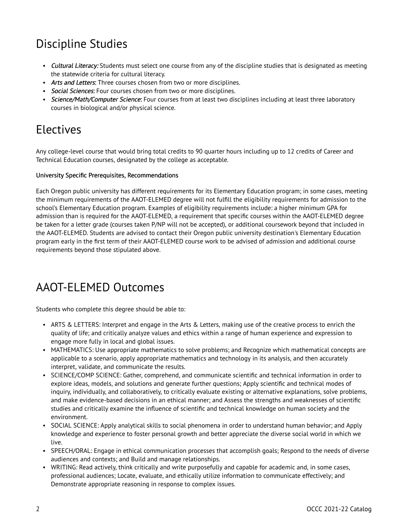# Discipline Studies

- Cultural Literacy: Students must select one course from any of the discipline studies that is designated as meeting the statewide criteria for cultural literacy.
- Arts and Letters: Three courses chosen from two or more disciplines.
- Social Sciences: Four courses chosen from two or more disciplines.
- Science/Math/Computer Science: Four courses from at least two disciplines including at least three laboratory courses in biological and/or physical science.

## Electives

Any college-level course that would bring total credits to 90 quarter hours including up to 12 credits of Career and Technical Education courses, designated by the college as acceptable.

#### University Specific Prerequisites, Recommendations

Each Oregon public university has different requirements for its Elementary Education program; in some cases, meeting the minimum requirements of the AAOT-ELEMED degree will not fulfill the eligibility requirements for admission to the school's Elementary Education program. Examples of eligibility requirements include: a higher minimum GPA for admission than is required for the AAOT-ELEMED, a requirement that specific courses within the AAOT-ELEMED degree be taken for a letter grade (courses taken P/NP will not be accepted), or additional coursework beyond that included in the AAOT-ELEMED. Students are advised to contact their Oregon public university destination's Elementary Education program early in the first term of their AAOT-ELEMED course work to be advised of admission and additional course requirements beyond those stipulated above.

#### AAOT-ELEMED Outcomes

Students who complete this degree should be able to:

- ARTS & LETTERS: Interpret and engage in the Arts & Letters, making use of the creative process to enrich the quality of life; and critically analyze values and ethics within a range of human experience and expression to engage more fully in local and global issues.
- MATHEMATICS: Use appropriate mathematics to solve problems; and Recognize which mathematical concepts are applicable to a scenario, apply appropriate mathematics and technology in its analysis, and then accurately interpret, validate, and communicate the results.
- SCIENCE/COMP SCIENCE: Gather, comprehend, and communicate scientific and technical information in order to explore ideas, models, and solutions and generate further questions; Apply scientific and technical modes of inquiry, individually, and collaboratively, to critically evaluate existing or alternative explanations, solve problems, and make evidence-based decisions in an ethical manner; and Assess the strengths and weaknesses of scientific studies and critically examine the influence of scientific and technical knowledge on human society and the environment.
- SOCIAL SCIENCE: Apply analytical skills to social phenomena in order to understand human behavior; and Apply knowledge and experience to foster personal growth and better appreciate the diverse social world in which we live.
- SPEECH/ORAL: Engage in ethical communication processes that accomplish goals; Respond to the needs of diverse audiences and contexts; and Build and manage relationships.
- WRITING: Read actively, think critically and write purposefully and capable for academic and, in some cases, professional audiences; Locate, evaluate, and ethically utilize information to communicate effectively; and Demonstrate appropriate reasoning in response to complex issues.